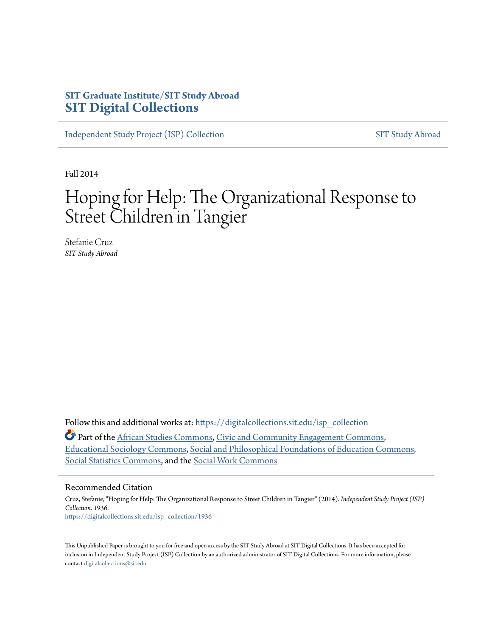## **SIT Graduate Institute/SIT Study Abroad [SIT Digital Collections](https://digitalcollections.sit.edu?utm_source=digitalcollections.sit.edu%2Fisp_collection%2F1936&utm_medium=PDF&utm_campaign=PDFCoverPages)**

[Independent Study Project \(ISP\) Collection](https://digitalcollections.sit.edu/isp_collection?utm_source=digitalcollections.sit.edu%2Fisp_collection%2F1936&utm_medium=PDF&utm_campaign=PDFCoverPages) [SIT Study Abroad](https://digitalcollections.sit.edu/study_abroad?utm_source=digitalcollections.sit.edu%2Fisp_collection%2F1936&utm_medium=PDF&utm_campaign=PDFCoverPages)

Fall 2014

# Hoping for Help: The Organizational Response to Street Children in Tangier

Stefanie Cruz *SIT Study Abroad*

Follow this and additional works at: [https://digitalcollections.sit.edu/isp\\_collection](https://digitalcollections.sit.edu/isp_collection?utm_source=digitalcollections.sit.edu%2Fisp_collection%2F1936&utm_medium=PDF&utm_campaign=PDFCoverPages)

Part of the [African Studies Commons](http://network.bepress.com/hgg/discipline/1043?utm_source=digitalcollections.sit.edu%2Fisp_collection%2F1936&utm_medium=PDF&utm_campaign=PDFCoverPages), [Civic and Community Engagement Commons,](http://network.bepress.com/hgg/discipline/1028?utm_source=digitalcollections.sit.edu%2Fisp_collection%2F1936&utm_medium=PDF&utm_campaign=PDFCoverPages) [Educational Sociology Commons,](http://network.bepress.com/hgg/discipline/1071?utm_source=digitalcollections.sit.edu%2Fisp_collection%2F1936&utm_medium=PDF&utm_campaign=PDFCoverPages) [Social and Philosophical Foundations of Education Commons](http://network.bepress.com/hgg/discipline/799?utm_source=digitalcollections.sit.edu%2Fisp_collection%2F1936&utm_medium=PDF&utm_campaign=PDFCoverPages), [Social Statistics Commons](http://network.bepress.com/hgg/discipline/1275?utm_source=digitalcollections.sit.edu%2Fisp_collection%2F1936&utm_medium=PDF&utm_campaign=PDFCoverPages), and the [Social Work Commons](http://network.bepress.com/hgg/discipline/713?utm_source=digitalcollections.sit.edu%2Fisp_collection%2F1936&utm_medium=PDF&utm_campaign=PDFCoverPages)

#### Recommended Citation

Cruz, Stefanie, "Hoping for Help: The Organizational Response to Street Children in Tangier" (2014). *Independent Study Project (ISP) Collection*. 1936. [https://digitalcollections.sit.edu/isp\\_collection/1936](https://digitalcollections.sit.edu/isp_collection/1936?utm_source=digitalcollections.sit.edu%2Fisp_collection%2F1936&utm_medium=PDF&utm_campaign=PDFCoverPages)

This Unpublished Paper is brought to you for free and open access by the SIT Study Abroad at SIT Digital Collections. It has been accepted for inclusion in Independent Study Project (ISP) Collection by an authorized administrator of SIT Digital Collections. For more information, please contact [digitalcollections@sit.edu](mailto:digitalcollections@sit.edu).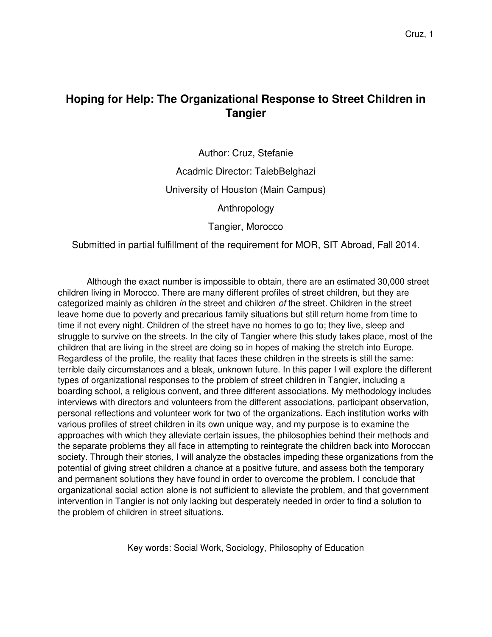# **Hoping for Help: The Organizational Response to Street Children in Tangier**

Author: Cruz, Stefanie Acadmic Director: TaiebBelghazi University of Houston (Main Campus) Anthropology

Tangier, Morocco

Submitted in partial fulfillment of the requirement for MOR, SIT Abroad, Fall 2014.

Although the exact number is impossible to obtain, there are an estimated 30,000 street children living in Morocco. There are many different profiles of street children, but they are categorized mainly as children in the street and children of the street. Children in the street leave home due to poverty and precarious family situations but still return home from time to time if not every night. Children of the street have no homes to go to; they live, sleep and struggle to survive on the streets. In the city of Tangier where this study takes place, most of the children that are living in the street are doing so in hopes of making the stretch into Europe. Regardless of the profile, the reality that faces these children in the streets is still the same: terrible daily circumstances and a bleak, unknown future. In this paper I will explore the different types of organizational responses to the problem of street children in Tangier, including a boarding school, a religious convent, and three different associations. My methodology includes interviews with directors and volunteers from the different associations, participant observation, personal reflections and volunteer work for two of the organizations. Each institution works with various profiles of street children in its own unique way, and my purpose is to examine the approaches with which they alleviate certain issues, the philosophies behind their methods and the separate problems they all face in attempting to reintegrate the children back into Moroccan society. Through their stories, I will analyze the obstacles impeding these organizations from the potential of giving street children a chance at a positive future, and assess both the temporary and permanent solutions they have found in order to overcome the problem. I conclude that organizational social action alone is not sufficient to alleviate the problem, and that government intervention in Tangier is not only lacking but desperately needed in order to find a solution to the problem of children in street situations.

Key words: Social Work, Sociology, Philosophy of Education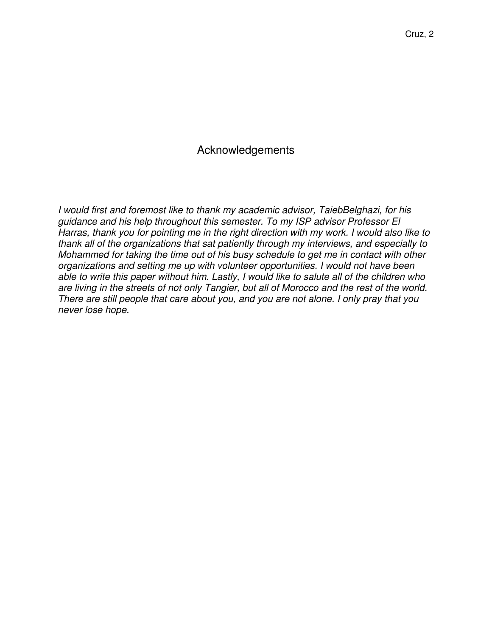### Acknowledgements

I would first and foremost like to thank my academic advisor, TaiebBelghazi, for his guidance and his help throughout this semester. To my ISP advisor Professor El Harras, thank you for pointing me in the right direction with my work. I would also like to thank all of the organizations that sat patiently through my interviews, and especially to Mohammed for taking the time out of his busy schedule to get me in contact with other organizations and setting me up with volunteer opportunities. I would not have been able to write this paper without him. Lastly, I would like to salute all of the children who are living in the streets of not only Tangier, but all of Morocco and the rest of the world. There are still people that care about you, and you are not alone. I only pray that you never lose hope.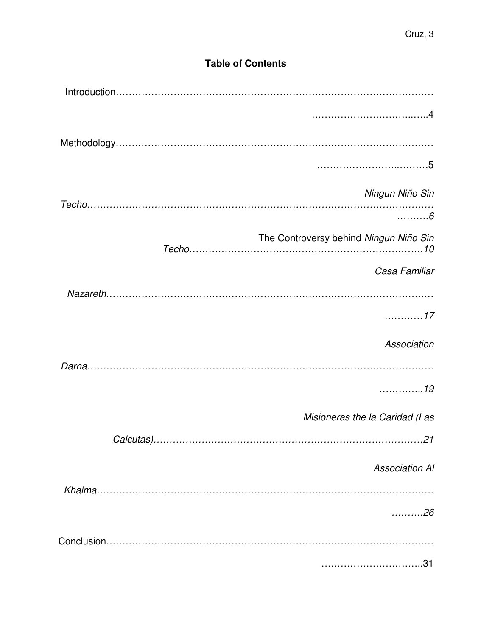# **Table of Contents**

| Ningun Niño Sin                        |
|----------------------------------------|
| $\ldots \ldots 6$                      |
| The Controversy behind Ningun Niño Sin |
| Casa Familiar                          |
|                                        |
| . 17                                   |
| Association                            |
|                                        |
| . 19                                   |
| Misioneras the la Caridad (Las         |
|                                        |
| <b>Association Al</b>                  |
|                                        |
| . 26                                   |
|                                        |
| .31                                    |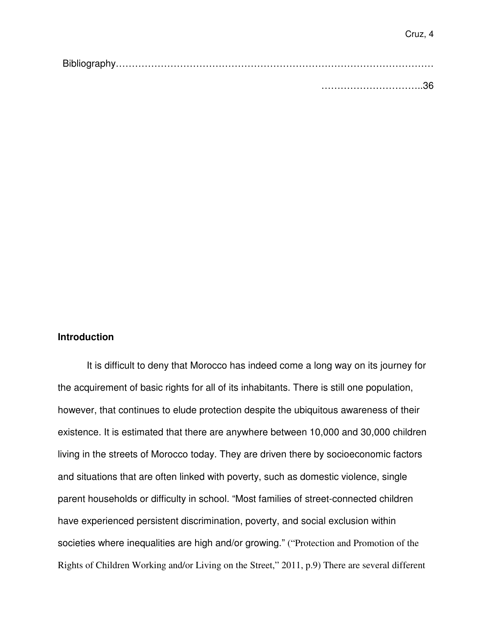#### **Introduction**

It is difficult to deny that Morocco has indeed come a long way on its journey for the acquirement of basic rights for all of its inhabitants. There is still one population, however, that continues to elude protection despite the ubiquitous awareness of their existence. It is estimated that there are anywhere between 10,000 and 30,000 children living in the streets of Morocco today. They are driven there by socioeconomic factors and situations that are often linked with poverty, such as domestic violence, single parent households or difficulty in school. "Most families of street-connected children have experienced persistent discrimination, poverty, and social exclusion within societies where inequalities are high and/or growing." ("Protection and Promotion of the Rights of Children Working and/or Living on the Street," 2011, p.9) There are several different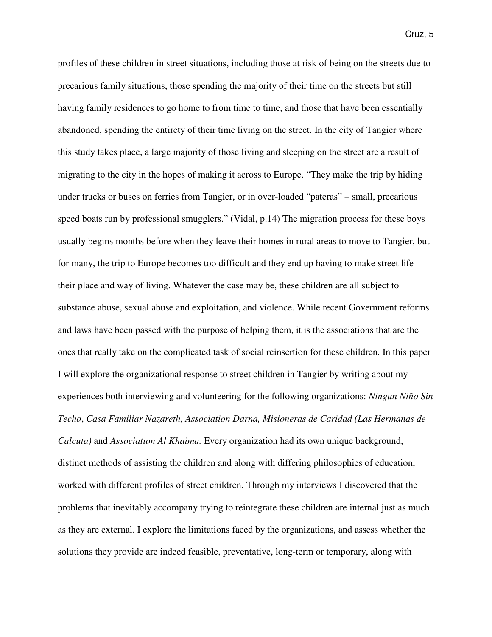profiles of these children in street situations, including those at risk of being on the streets due to precarious family situations, those spending the majority of their time on the streets but still having family residences to go home to from time to time, and those that have been essentially abandoned, spending the entirety of their time living on the street. In the city of Tangier where this study takes place, a large majority of those living and sleeping on the street are a result of migrating to the city in the hopes of making it across to Europe. "They make the trip by hiding under trucks or buses on ferries from Tangier, or in over-loaded "pateras" – small, precarious speed boats run by professional smugglers." (Vidal, p.14) The migration process for these boys usually begins months before when they leave their homes in rural areas to move to Tangier, but for many, the trip to Europe becomes too difficult and they end up having to make street life their place and way of living. Whatever the case may be, these children are all subject to substance abuse, sexual abuse and exploitation, and violence. While recent Government reforms and laws have been passed with the purpose of helping them, it is the associations that are the ones that really take on the complicated task of social reinsertion for these children. In this paper I will explore the organizational response to street children in Tangier by writing about my experiences both interviewing and volunteering for the following organizations: *Ningun Niño Sin Techo*, *Casa Familiar Nazareth, Association Darna, Misioneras de Caridad (Las Hermanas de Calcuta)* and *Association Al Khaima.* Every organization had its own unique background, distinct methods of assisting the children and along with differing philosophies of education, worked with different profiles of street children. Through my interviews I discovered that the problems that inevitably accompany trying to reintegrate these children are internal just as much as they are external. I explore the limitations faced by the organizations, and assess whether the solutions they provide are indeed feasible, preventative, long-term or temporary, along with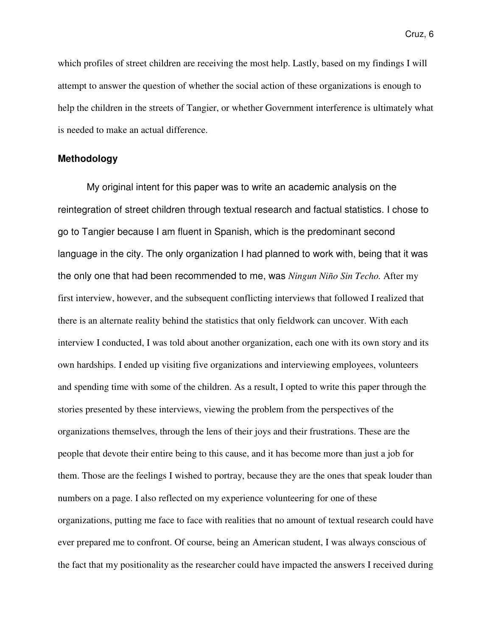which profiles of street children are receiving the most help. Lastly, based on my findings I will attempt to answer the question of whether the social action of these organizations is enough to help the children in the streets of Tangier, or whether Government interference is ultimately what is needed to make an actual difference.

#### **Methodology**

 My original intent for this paper was to write an academic analysis on the reintegration of street children through textual research and factual statistics. I chose to go to Tangier because I am fluent in Spanish, which is the predominant second language in the city. The only organization I had planned to work with, being that it was the only one that had been recommended to me, was *Ningun Niño Sin Techo.* After my first interview, however, and the subsequent conflicting interviews that followed I realized that there is an alternate reality behind the statistics that only fieldwork can uncover. With each interview I conducted, I was told about another organization, each one with its own story and its own hardships. I ended up visiting five organizations and interviewing employees, volunteers and spending time with some of the children. As a result, I opted to write this paper through the stories presented by these interviews, viewing the problem from the perspectives of the organizations themselves, through the lens of their joys and their frustrations. These are the people that devote their entire being to this cause, and it has become more than just a job for them. Those are the feelings I wished to portray, because they are the ones that speak louder than numbers on a page. I also reflected on my experience volunteering for one of these organizations, putting me face to face with realities that no amount of textual research could have ever prepared me to confront. Of course, being an American student, I was always conscious of the fact that my positionality as the researcher could have impacted the answers I received during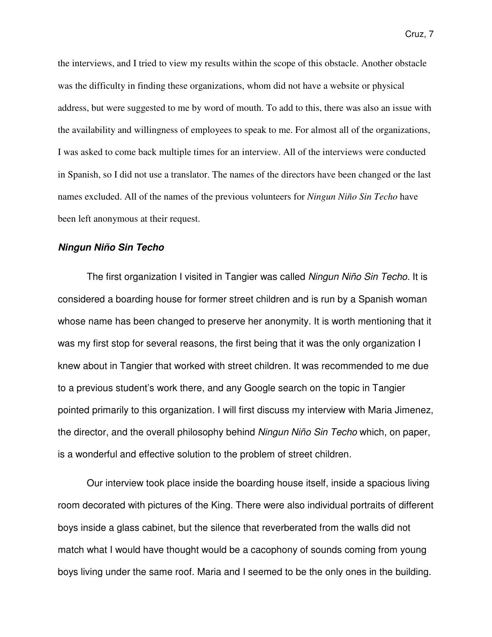the interviews, and I tried to view my results within the scope of this obstacle. Another obstacle was the difficulty in finding these organizations, whom did not have a website or physical address, but were suggested to me by word of mouth. To add to this, there was also an issue with the availability and willingness of employees to speak to me. For almost all of the organizations, I was asked to come back multiple times for an interview. All of the interviews were conducted in Spanish, so I did not use a translator. The names of the directors have been changed or the last names excluded. All of the names of the previous volunteers for *Ningun Niño Sin Techo* have been left anonymous at their request.

#### **Ningun Niño Sin Techo**

The first organization I visited in Tangier was called Ningun Niño Sin Techo. It is considered a boarding house for former street children and is run by a Spanish woman whose name has been changed to preserve her anonymity. It is worth mentioning that it was my first stop for several reasons, the first being that it was the only organization I knew about in Tangier that worked with street children. It was recommended to me due to a previous student's work there, and any Google search on the topic in Tangier pointed primarily to this organization. I will first discuss my interview with Maria Jimenez, the director, and the overall philosophy behind Ningun Niño Sin Techo which, on paper, is a wonderful and effective solution to the problem of street children.

Our interview took place inside the boarding house itself, inside a spacious living room decorated with pictures of the King. There were also individual portraits of different boys inside a glass cabinet, but the silence that reverberated from the walls did not match what I would have thought would be a cacophony of sounds coming from young boys living under the same roof. Maria and I seemed to be the only ones in the building.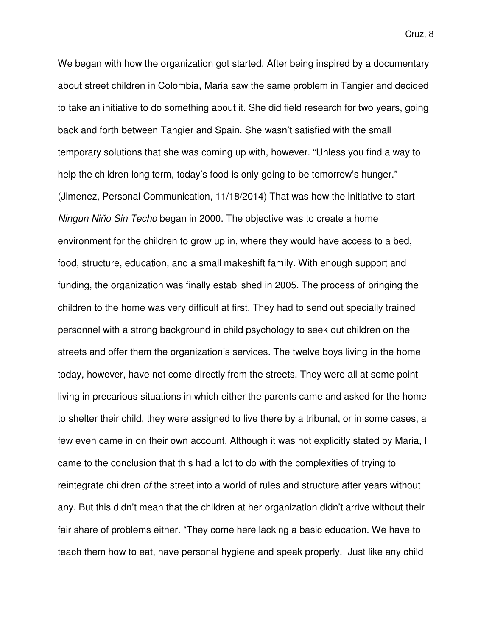We began with how the organization got started. After being inspired by a documentary about street children in Colombia, Maria saw the same problem in Tangier and decided to take an initiative to do something about it. She did field research for two years, going back and forth between Tangier and Spain. She wasn't satisfied with the small temporary solutions that she was coming up with, however. "Unless you find a way to help the children long term, today's food is only going to be tomorrow's hunger." (Jimenez, Personal Communication, 11/18/2014) That was how the initiative to start Ningun Niño Sin Techo began in 2000. The objective was to create a home environment for the children to grow up in, where they would have access to a bed, food, structure, education, and a small makeshift family. With enough support and funding, the organization was finally established in 2005. The process of bringing the children to the home was very difficult at first. They had to send out specially trained personnel with a strong background in child psychology to seek out children on the streets and offer them the organization's services. The twelve boys living in the home today, however, have not come directly from the streets. They were all at some point living in precarious situations in which either the parents came and asked for the home to shelter their child, they were assigned to live there by a tribunal, or in some cases, a few even came in on their own account. Although it was not explicitly stated by Maria, I came to the conclusion that this had a lot to do with the complexities of trying to reintegrate children of the street into a world of rules and structure after years without any. But this didn't mean that the children at her organization didn't arrive without their fair share of problems either. "They come here lacking a basic education. We have to teach them how to eat, have personal hygiene and speak properly. Just like any child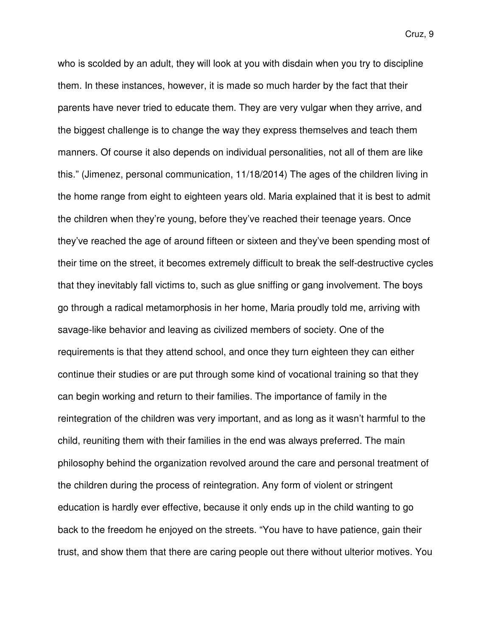who is scolded by an adult, they will look at you with disdain when you try to discipline them. In these instances, however, it is made so much harder by the fact that their parents have never tried to educate them. They are very vulgar when they arrive, and the biggest challenge is to change the way they express themselves and teach them manners. Of course it also depends on individual personalities, not all of them are like this." (Jimenez, personal communication, 11/18/2014) The ages of the children living in the home range from eight to eighteen years old. Maria explained that it is best to admit the children when they're young, before they've reached their teenage years. Once they've reached the age of around fifteen or sixteen and they've been spending most of their time on the street, it becomes extremely difficult to break the self-destructive cycles that they inevitably fall victims to, such as glue sniffing or gang involvement. The boys go through a radical metamorphosis in her home, Maria proudly told me, arriving with savage-like behavior and leaving as civilized members of society. One of the requirements is that they attend school, and once they turn eighteen they can either continue their studies or are put through some kind of vocational training so that they can begin working and return to their families. The importance of family in the reintegration of the children was very important, and as long as it wasn't harmful to the child, reuniting them with their families in the end was always preferred. The main philosophy behind the organization revolved around the care and personal treatment of the children during the process of reintegration. Any form of violent or stringent education is hardly ever effective, because it only ends up in the child wanting to go back to the freedom he enjoyed on the streets. "You have to have patience, gain their trust, and show them that there are caring people out there without ulterior motives. You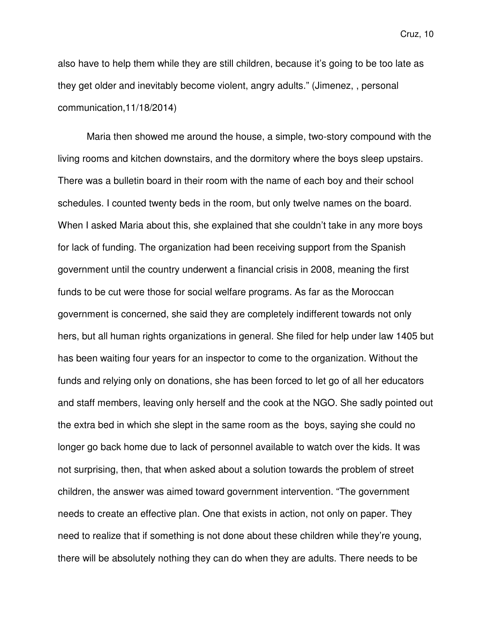also have to help them while they are still children, because it's going to be too late as they get older and inevitably become violent, angry adults." (Jimenez, , personal communication,11/18/2014)

Maria then showed me around the house, a simple, two-story compound with the living rooms and kitchen downstairs, and the dormitory where the boys sleep upstairs. There was a bulletin board in their room with the name of each boy and their school schedules. I counted twenty beds in the room, but only twelve names on the board. When I asked Maria about this, she explained that she couldn't take in any more boys for lack of funding. The organization had been receiving support from the Spanish government until the country underwent a financial crisis in 2008, meaning the first funds to be cut were those for social welfare programs. As far as the Moroccan government is concerned, she said they are completely indifferent towards not only hers, but all human rights organizations in general. She filed for help under law 1405 but has been waiting four years for an inspector to come to the organization. Without the funds and relying only on donations, she has been forced to let go of all her educators and staff members, leaving only herself and the cook at the NGO. She sadly pointed out the extra bed in which she slept in the same room as the boys, saying she could no longer go back home due to lack of personnel available to watch over the kids. It was not surprising, then, that when asked about a solution towards the problem of street children, the answer was aimed toward government intervention. "The government needs to create an effective plan. One that exists in action, not only on paper. They need to realize that if something is not done about these children while they're young, there will be absolutely nothing they can do when they are adults. There needs to be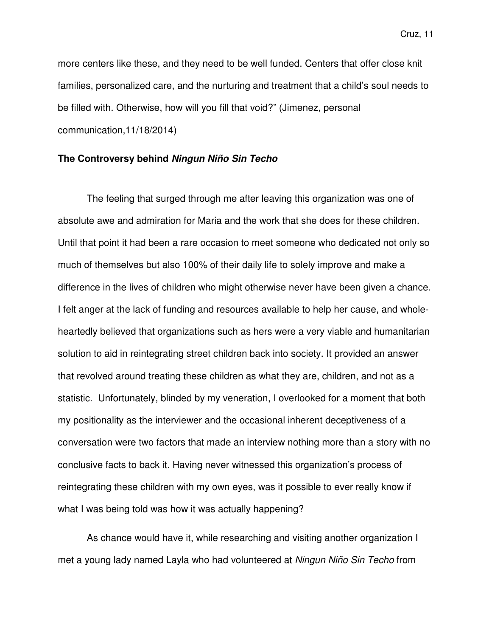more centers like these, and they need to be well funded. Centers that offer close knit families, personalized care, and the nurturing and treatment that a child's soul needs to be filled with. Otherwise, how will you fill that void?" (Jimenez, personal communication,11/18/2014)

#### **The Controversy behind Ningun Niño Sin Techo**

The feeling that surged through me after leaving this organization was one of absolute awe and admiration for Maria and the work that she does for these children. Until that point it had been a rare occasion to meet someone who dedicated not only so much of themselves but also 100% of their daily life to solely improve and make a difference in the lives of children who might otherwise never have been given a chance. I felt anger at the lack of funding and resources available to help her cause, and wholeheartedly believed that organizations such as hers were a very viable and humanitarian solution to aid in reintegrating street children back into society. It provided an answer that revolved around treating these children as what they are, children, and not as a statistic. Unfortunately, blinded by my veneration, I overlooked for a moment that both my positionality as the interviewer and the occasional inherent deceptiveness of a conversation were two factors that made an interview nothing more than a story with no conclusive facts to back it. Having never witnessed this organization's process of reintegrating these children with my own eyes, was it possible to ever really know if what I was being told was how it was actually happening?

As chance would have it, while researching and visiting another organization I met a young lady named Layla who had volunteered at Ningun Niño Sin Techo from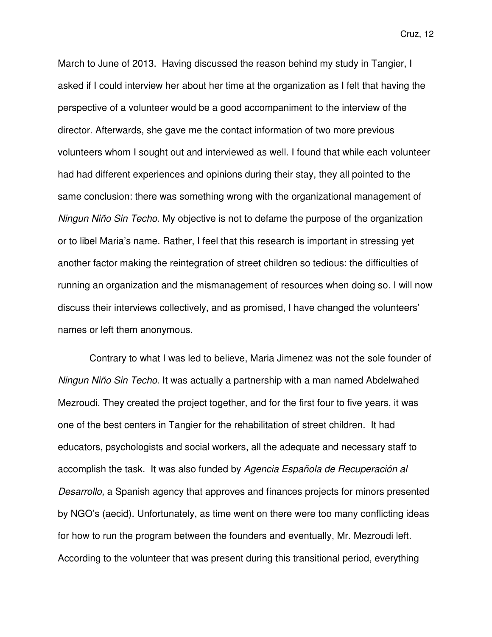March to June of 2013. Having discussed the reason behind my study in Tangier, I asked if I could interview her about her time at the organization as I felt that having the perspective of a volunteer would be a good accompaniment to the interview of the director. Afterwards, she gave me the contact information of two more previous volunteers whom I sought out and interviewed as well. I found that while each volunteer had had different experiences and opinions during their stay, they all pointed to the same conclusion: there was something wrong with the organizational management of Ningun Niño Sin Techo. My objective is not to defame the purpose of the organization or to libel Maria's name. Rather, I feel that this research is important in stressing yet another factor making the reintegration of street children so tedious: the difficulties of running an organization and the mismanagement of resources when doing so. I will now discuss their interviews collectively, and as promised, I have changed the volunteers' names or left them anonymous.

 Contrary to what I was led to believe, Maria Jimenez was not the sole founder of Ningun Niño Sin Techo. It was actually a partnership with a man named Abdelwahed Mezroudi. They created the project together, and for the first four to five years, it was one of the best centers in Tangier for the rehabilitation of street children. It had educators, psychologists and social workers, all the adequate and necessary staff to accomplish the task. It was also funded by Agencia Española de Recuperación al Desarrollo, a Spanish agency that approves and finances projects for minors presented by NGO's (aecid). Unfortunately, as time went on there were too many conflicting ideas for how to run the program between the founders and eventually, Mr. Mezroudi left. According to the volunteer that was present during this transitional period, everything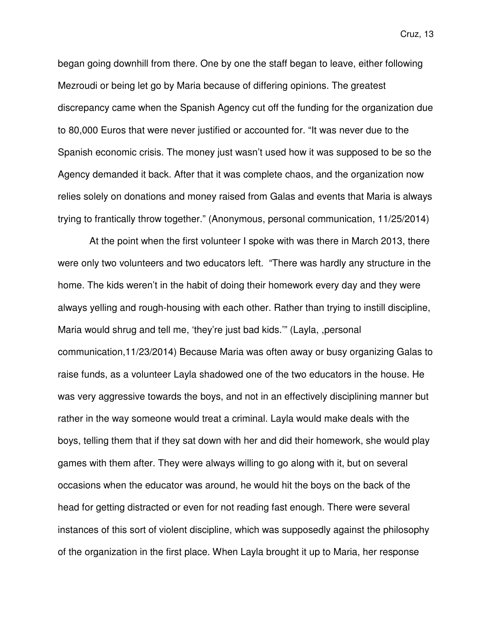began going downhill from there. One by one the staff began to leave, either following Mezroudi or being let go by Maria because of differing opinions. The greatest discrepancy came when the Spanish Agency cut off the funding for the organization due to 80,000 Euros that were never justified or accounted for. "It was never due to the Spanish economic crisis. The money just wasn't used how it was supposed to be so the Agency demanded it back. After that it was complete chaos, and the organization now relies solely on donations and money raised from Galas and events that Maria is always trying to frantically throw together." (Anonymous, personal communication, 11/25/2014)

 At the point when the first volunteer I spoke with was there in March 2013, there were only two volunteers and two educators left. "There was hardly any structure in the home. The kids weren't in the habit of doing their homework every day and they were always yelling and rough-housing with each other. Rather than trying to instill discipline, Maria would shrug and tell me, 'they're just bad kids.'" (Layla, ,personal communication,11/23/2014) Because Maria was often away or busy organizing Galas to raise funds, as a volunteer Layla shadowed one of the two educators in the house. He was very aggressive towards the boys, and not in an effectively disciplining manner but rather in the way someone would treat a criminal. Layla would make deals with the boys, telling them that if they sat down with her and did their homework, she would play games with them after. They were always willing to go along with it, but on several occasions when the educator was around, he would hit the boys on the back of the head for getting distracted or even for not reading fast enough. There were several instances of this sort of violent discipline, which was supposedly against the philosophy of the organization in the first place. When Layla brought it up to Maria, her response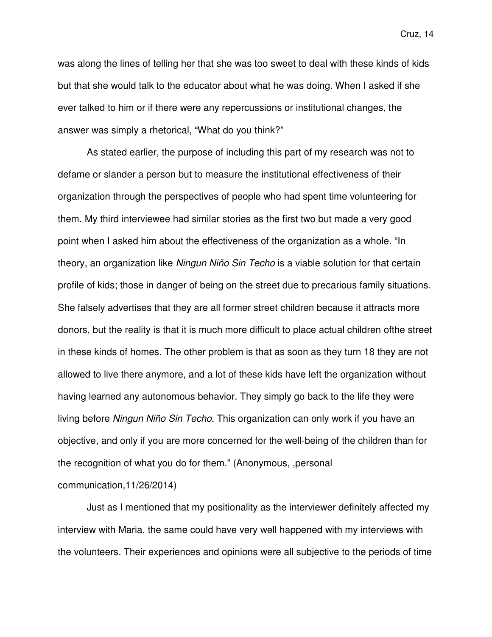was along the lines of telling her that she was too sweet to deal with these kinds of kids but that she would talk to the educator about what he was doing. When I asked if she ever talked to him or if there were any repercussions or institutional changes, the answer was simply a rhetorical, "What do you think?"

As stated earlier, the purpose of including this part of my research was not to defame or slander a person but to measure the institutional effectiveness of their organization through the perspectives of people who had spent time volunteering for them. My third interviewee had similar stories as the first two but made a very good point when I asked him about the effectiveness of the organization as a whole. "In theory, an organization like Ningun Niño Sin Techo is a viable solution for that certain profile of kids; those in danger of being on the street due to precarious family situations. She falsely advertises that they are all former street children because it attracts more donors, but the reality is that it is much more difficult to place actual children ofthe street in these kinds of homes. The other problem is that as soon as they turn 18 they are not allowed to live there anymore, and a lot of these kids have left the organization without having learned any autonomous behavior. They simply go back to the life they were living before Ningun Niño Sin Techo. This organization can only work if you have an objective, and only if you are more concerned for the well-being of the children than for the recognition of what you do for them." (Anonymous, ,personal communication,11/26/2014)

 Just as I mentioned that my positionality as the interviewer definitely affected my interview with Maria, the same could have very well happened with my interviews with the volunteers. Their experiences and opinions were all subjective to the periods of time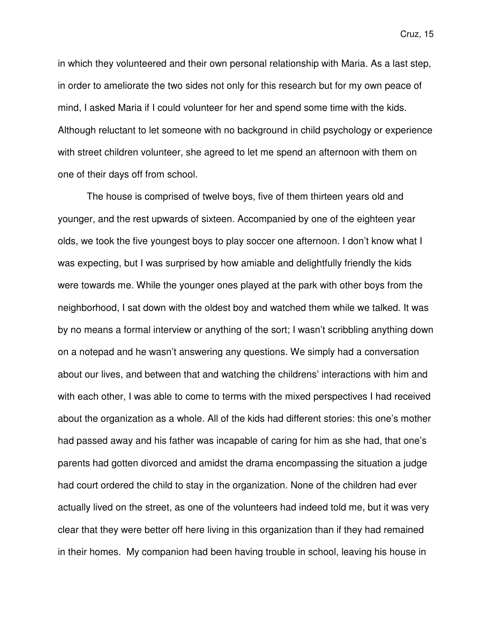in which they volunteered and their own personal relationship with Maria. As a last step, in order to ameliorate the two sides not only for this research but for my own peace of mind, I asked Maria if I could volunteer for her and spend some time with the kids. Although reluctant to let someone with no background in child psychology or experience with street children volunteer, she agreed to let me spend an afternoon with them on one of their days off from school.

The house is comprised of twelve boys, five of them thirteen years old and younger, and the rest upwards of sixteen. Accompanied by one of the eighteen year olds, we took the five youngest boys to play soccer one afternoon. I don't know what I was expecting, but I was surprised by how amiable and delightfully friendly the kids were towards me. While the younger ones played at the park with other boys from the neighborhood, I sat down with the oldest boy and watched them while we talked. It was by no means a formal interview or anything of the sort; I wasn't scribbling anything down on a notepad and he wasn't answering any questions. We simply had a conversation about our lives, and between that and watching the childrens' interactions with him and with each other, I was able to come to terms with the mixed perspectives I had received about the organization as a whole. All of the kids had different stories: this one's mother had passed away and his father was incapable of caring for him as she had, that one's parents had gotten divorced and amidst the drama encompassing the situation a judge had court ordered the child to stay in the organization. None of the children had ever actually lived on the street, as one of the volunteers had indeed told me, but it was very clear that they were better off here living in this organization than if they had remained in their homes. My companion had been having trouble in school, leaving his house in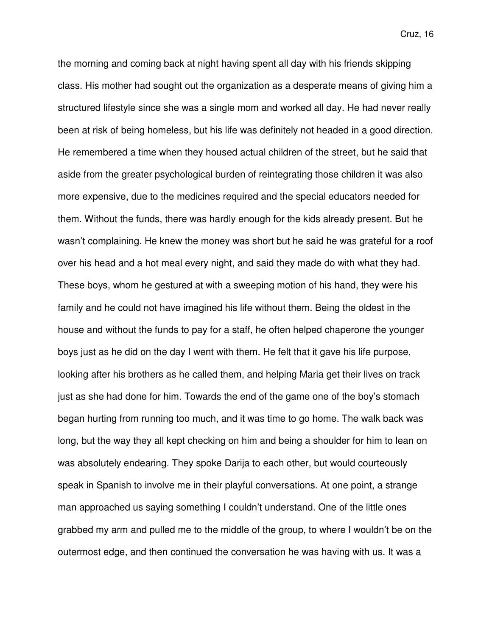the morning and coming back at night having spent all day with his friends skipping class. His mother had sought out the organization as a desperate means of giving him a structured lifestyle since she was a single mom and worked all day. He had never really been at risk of being homeless, but his life was definitely not headed in a good direction. He remembered a time when they housed actual children of the street, but he said that aside from the greater psychological burden of reintegrating those children it was also more expensive, due to the medicines required and the special educators needed for them. Without the funds, there was hardly enough for the kids already present. But he wasn't complaining. He knew the money was short but he said he was grateful for a roof over his head and a hot meal every night, and said they made do with what they had. These boys, whom he gestured at with a sweeping motion of his hand, they were his family and he could not have imagined his life without them. Being the oldest in the house and without the funds to pay for a staff, he often helped chaperone the younger boys just as he did on the day I went with them. He felt that it gave his life purpose, looking after his brothers as he called them, and helping Maria get their lives on track just as she had done for him. Towards the end of the game one of the boy's stomach began hurting from running too much, and it was time to go home. The walk back was long, but the way they all kept checking on him and being a shoulder for him to lean on was absolutely endearing. They spoke Darija to each other, but would courteously speak in Spanish to involve me in their playful conversations. At one point, a strange man approached us saying something I couldn't understand. One of the little ones grabbed my arm and pulled me to the middle of the group, to where I wouldn't be on the outermost edge, and then continued the conversation he was having with us. It was a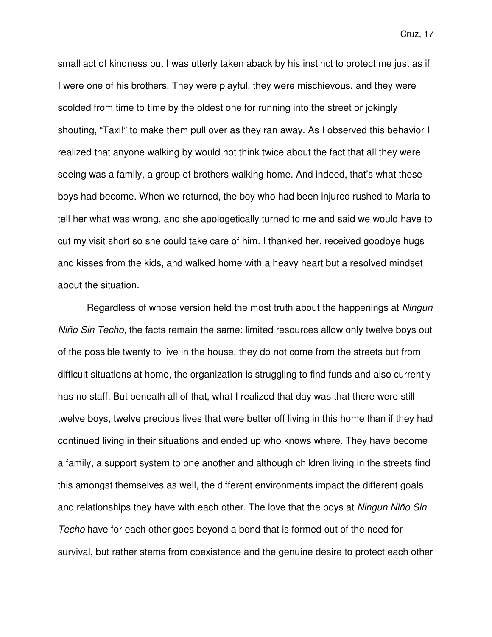small act of kindness but I was utterly taken aback by his instinct to protect me just as if I were one of his brothers. They were playful, they were mischievous, and they were scolded from time to time by the oldest one for running into the street or jokingly shouting, "Taxi!" to make them pull over as they ran away. As I observed this behavior I realized that anyone walking by would not think twice about the fact that all they were seeing was a family, a group of brothers walking home. And indeed, that's what these boys had become. When we returned, the boy who had been injured rushed to Maria to tell her what was wrong, and she apologetically turned to me and said we would have to cut my visit short so she could take care of him. I thanked her, received goodbye hugs and kisses from the kids, and walked home with a heavy heart but a resolved mindset about the situation.

Regardless of whose version held the most truth about the happenings at Ningun Niño Sin Techo, the facts remain the same: limited resources allow only twelve boys out of the possible twenty to live in the house, they do not come from the streets but from difficult situations at home, the organization is struggling to find funds and also currently has no staff. But beneath all of that, what I realized that day was that there were still twelve boys, twelve precious lives that were better off living in this home than if they had continued living in their situations and ended up who knows where. They have become a family, a support system to one another and although children living in the streets find this amongst themselves as well, the different environments impact the different goals and relationships they have with each other. The love that the boys at Ningun Niño Sin Techo have for each other goes beyond a bond that is formed out of the need for survival, but rather stems from coexistence and the genuine desire to protect each other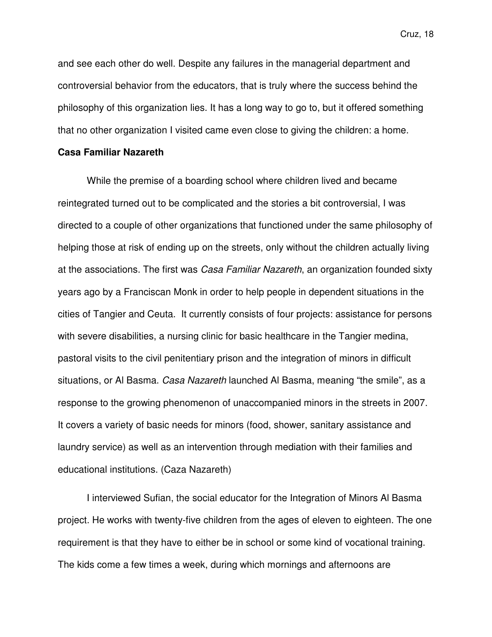and see each other do well. Despite any failures in the managerial department and controversial behavior from the educators, that is truly where the success behind the philosophy of this organization lies. It has a long way to go to, but it offered something that no other organization I visited came even close to giving the children: a home.

#### **Casa Familiar Nazareth**

 While the premise of a boarding school where children lived and became reintegrated turned out to be complicated and the stories a bit controversial, I was directed to a couple of other organizations that functioned under the same philosophy of helping those at risk of ending up on the streets, only without the children actually living at the associations. The first was Casa Familiar Nazareth, an organization founded sixty years ago by a Franciscan Monk in order to help people in dependent situations in the cities of Tangier and Ceuta. It currently consists of four projects: assistance for persons with severe disabilities, a nursing clinic for basic healthcare in the Tangier medina, pastoral visits to the civil penitentiary prison and the integration of minors in difficult situations, or Al Basma. Casa Nazareth launched Al Basma, meaning "the smile", as a response to the growing phenomenon of unaccompanied minors in the streets in 2007. It covers a variety of basic needs for minors (food, shower, sanitary assistance and laundry service) as well as an intervention through mediation with their families and educational institutions. (Caza Nazareth)

I interviewed Sufian, the social educator for the Integration of Minors Al Basma project. He works with twenty-five children from the ages of eleven to eighteen. The one requirement is that they have to either be in school or some kind of vocational training. The kids come a few times a week, during which mornings and afternoons are

Cruz, 18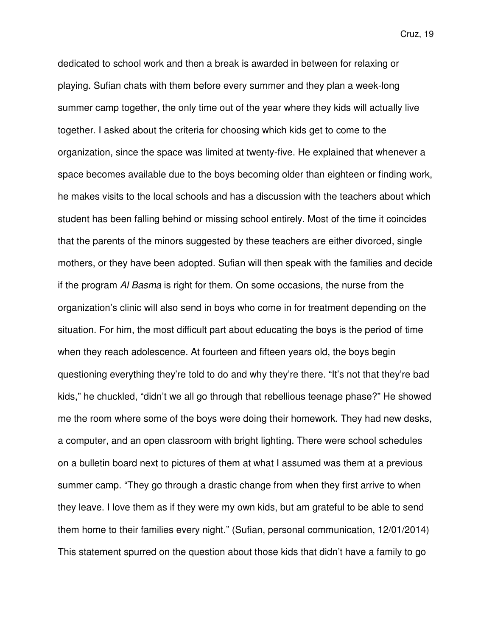dedicated to school work and then a break is awarded in between for relaxing or playing. Sufian chats with them before every summer and they plan a week-long summer camp together, the only time out of the year where they kids will actually live together. I asked about the criteria for choosing which kids get to come to the organization, since the space was limited at twenty-five. He explained that whenever a space becomes available due to the boys becoming older than eighteen or finding work, he makes visits to the local schools and has a discussion with the teachers about which student has been falling behind or missing school entirely. Most of the time it coincides that the parents of the minors suggested by these teachers are either divorced, single mothers, or they have been adopted. Sufian will then speak with the families and decide if the program Al Basma is right for them. On some occasions, the nurse from the organization's clinic will also send in boys who come in for treatment depending on the situation. For him, the most difficult part about educating the boys is the period of time when they reach adolescence. At fourteen and fifteen years old, the boys begin questioning everything they're told to do and why they're there. "It's not that they're bad kids," he chuckled, "didn't we all go through that rebellious teenage phase?" He showed me the room where some of the boys were doing their homework. They had new desks, a computer, and an open classroom with bright lighting. There were school schedules on a bulletin board next to pictures of them at what I assumed was them at a previous summer camp. "They go through a drastic change from when they first arrive to when they leave. I love them as if they were my own kids, but am grateful to be able to send them home to their families every night." (Sufian, personal communication, 12/01/2014) This statement spurred on the question about those kids that didn't have a family to go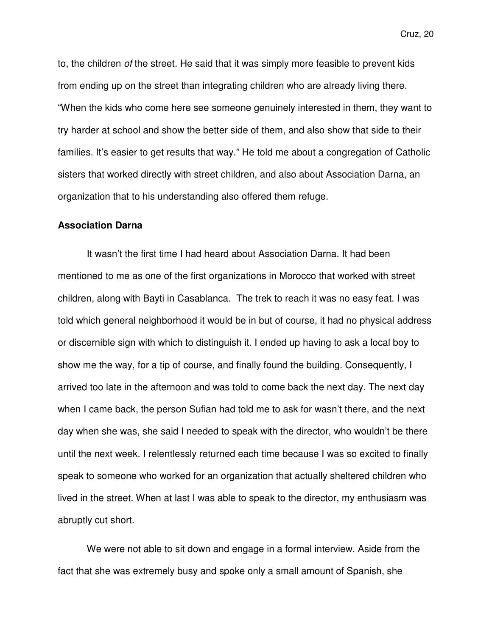to, the children of the street. He said that it was simply more feasible to prevent kids from ending up on the street than integrating children who are already living there. "When the kids who come here see someone genuinely interested in them, they want to try harder at school and show the better side of them, and also show that side to their

families. It's easier to get results that way." He told me about a congregation of Catholic sisters that worked directly with street children, and also about Association Darna, an organization that to his understanding also offered them refuge.

#### **Association Darna**

It wasn't the first time I had heard about Association Darna. It had been mentioned to me as one of the first organizations in Morocco that worked with street children, along with Bayti in Casablanca. The trek to reach it was no easy feat. I was told which general neighborhood it would be in but of course, it had no physical address or discernible sign with which to distinguish it. I ended up having to ask a local boy to show me the way, for a tip of course, and finally found the building. Consequently, I arrived too late in the afternoon and was told to come back the next day. The next day when I came back, the person Sufian had told me to ask for wasn't there, and the next day when she was, she said I needed to speak with the director, who wouldn't be there until the next week. I relentlessly returned each time because I was so excited to finally speak to someone who worked for an organization that actually sheltered children who lived in the street. When at last I was able to speak to the director, my enthusiasm was abruptly cut short.

We were not able to sit down and engage in a formal interview. Aside from the fact that she was extremely busy and spoke only a small amount of Spanish, she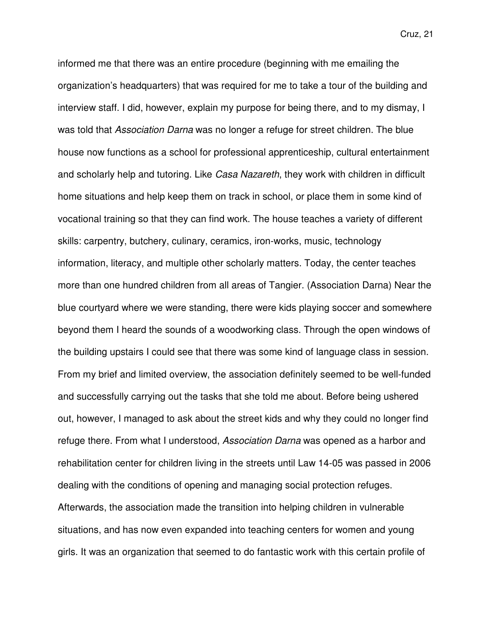informed me that there was an entire procedure (beginning with me emailing the organization's headquarters) that was required for me to take a tour of the building and interview staff. I did, however, explain my purpose for being there, and to my dismay, I was told that Association Darna was no longer a refuge for street children. The blue house now functions as a school for professional apprenticeship, cultural entertainment and scholarly help and tutoring. Like Casa Nazareth, they work with children in difficult home situations and help keep them on track in school, or place them in some kind of vocational training so that they can find work. The house teaches a variety of different skills: carpentry, butchery, culinary, ceramics, iron-works, music, technology information, literacy, and multiple other scholarly matters. Today, the center teaches more than one hundred children from all areas of Tangier. (Association Darna) Near the blue courtyard where we were standing, there were kids playing soccer and somewhere beyond them I heard the sounds of a woodworking class. Through the open windows of the building upstairs I could see that there was some kind of language class in session. From my brief and limited overview, the association definitely seemed to be well-funded and successfully carrying out the tasks that she told me about. Before being ushered out, however, I managed to ask about the street kids and why they could no longer find refuge there. From what I understood, Association Darna was opened as a harbor and rehabilitation center for children living in the streets until Law 14-05 was passed in 2006 dealing with the conditions of opening and managing social protection refuges. Afterwards, the association made the transition into helping children in vulnerable situations, and has now even expanded into teaching centers for women and young girls. It was an organization that seemed to do fantastic work with this certain profile of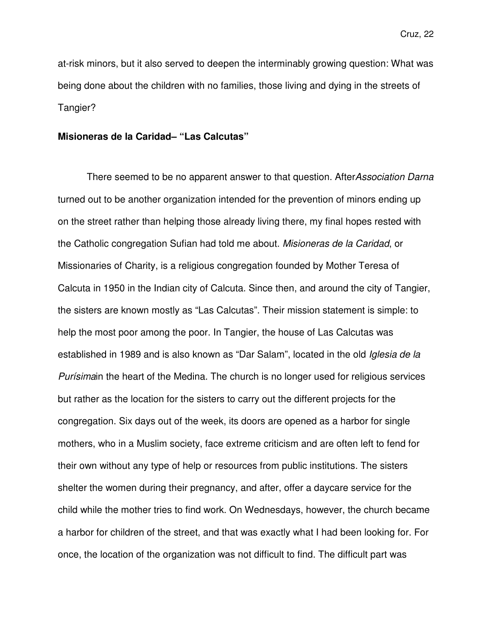at-risk minors, but it also served to deepen the interminably growing question: What was being done about the children with no families, those living and dying in the streets of Tangier?

#### **Misioneras de la Caridad– "Las Calcutas"**

There seemed to be no apparent answer to that question. After Association Darna turned out to be another organization intended for the prevention of minors ending up on the street rather than helping those already living there, my final hopes rested with the Catholic congregation Sufian had told me about. Misioneras de la Caridad, or Missionaries of Charity, is a religious congregation founded by Mother Teresa of Calcuta in 1950 in the Indian city of Calcuta. Since then, and around the city of Tangier, the sisters are known mostly as "Las Calcutas". Their mission statement is simple: to help the most poor among the poor. In Tangier, the house of Las Calcutas was established in 1989 and is also known as "Dar Salam", located in the old Iglesia de la Purísimain the heart of the Medina. The church is no longer used for religious services but rather as the location for the sisters to carry out the different projects for the congregation. Six days out of the week, its doors are opened as a harbor for single mothers, who in a Muslim society, face extreme criticism and are often left to fend for their own without any type of help or resources from public institutions. The sisters shelter the women during their pregnancy, and after, offer a daycare service for the child while the mother tries to find work. On Wednesdays, however, the church became a harbor for children of the street, and that was exactly what I had been looking for. For once, the location of the organization was not difficult to find. The difficult part was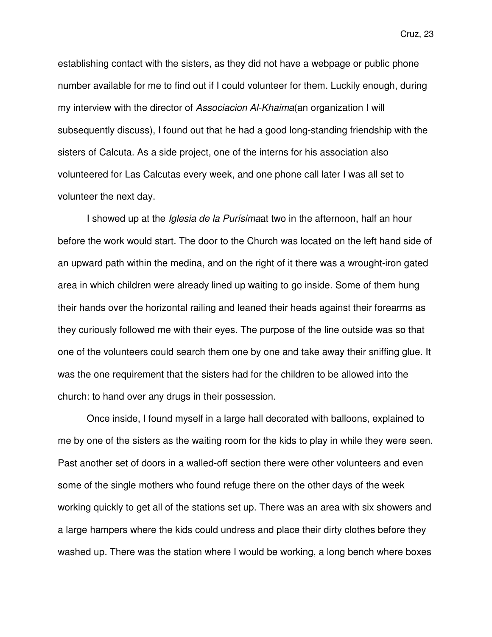establishing contact with the sisters, as they did not have a webpage or public phone number available for me to find out if I could volunteer for them. Luckily enough, during my interview with the director of Associacion Al-Khaima(an organization I will subsequently discuss), I found out that he had a good long-standing friendship with the sisters of Calcuta. As a side project, one of the interns for his association also volunteered for Las Calcutas every week, and one phone call later I was all set to volunteer the next day.

I showed up at the *Iglesia de la Purísima* at two in the afternoon, half an hour before the work would start. The door to the Church was located on the left hand side of an upward path within the medina, and on the right of it there was a wrought-iron gated area in which children were already lined up waiting to go inside. Some of them hung their hands over the horizontal railing and leaned their heads against their forearms as they curiously followed me with their eyes. The purpose of the line outside was so that one of the volunteers could search them one by one and take away their sniffing glue. It was the one requirement that the sisters had for the children to be allowed into the church: to hand over any drugs in their possession.

Once inside, I found myself in a large hall decorated with balloons, explained to me by one of the sisters as the waiting room for the kids to play in while they were seen. Past another set of doors in a walled-off section there were other volunteers and even some of the single mothers who found refuge there on the other days of the week working quickly to get all of the stations set up. There was an area with six showers and a large hampers where the kids could undress and place their dirty clothes before they washed up. There was the station where I would be working, a long bench where boxes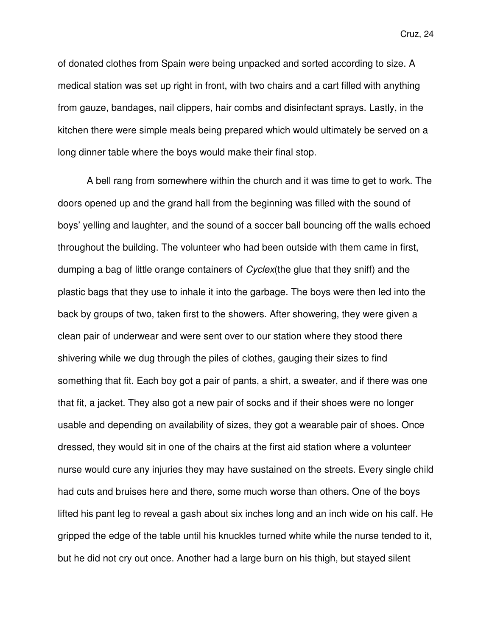of donated clothes from Spain were being unpacked and sorted according to size. A medical station was set up right in front, with two chairs and a cart filled with anything from gauze, bandages, nail clippers, hair combs and disinfectant sprays. Lastly, in the kitchen there were simple meals being prepared which would ultimately be served on a long dinner table where the boys would make their final stop.

 A bell rang from somewhere within the church and it was time to get to work. The doors opened up and the grand hall from the beginning was filled with the sound of boys' yelling and laughter, and the sound of a soccer ball bouncing off the walls echoed throughout the building. The volunteer who had been outside with them came in first, dumping a bag of little orange containers of Cyclex(the glue that they sniff) and the plastic bags that they use to inhale it into the garbage. The boys were then led into the back by groups of two, taken first to the showers. After showering, they were given a clean pair of underwear and were sent over to our station where they stood there shivering while we dug through the piles of clothes, gauging their sizes to find something that fit. Each boy got a pair of pants, a shirt, a sweater, and if there was one that fit, a jacket. They also got a new pair of socks and if their shoes were no longer usable and depending on availability of sizes, they got a wearable pair of shoes. Once dressed, they would sit in one of the chairs at the first aid station where a volunteer nurse would cure any injuries they may have sustained on the streets. Every single child had cuts and bruises here and there, some much worse than others. One of the boys lifted his pant leg to reveal a gash about six inches long and an inch wide on his calf. He gripped the edge of the table until his knuckles turned white while the nurse tended to it, but he did not cry out once. Another had a large burn on his thigh, but stayed silent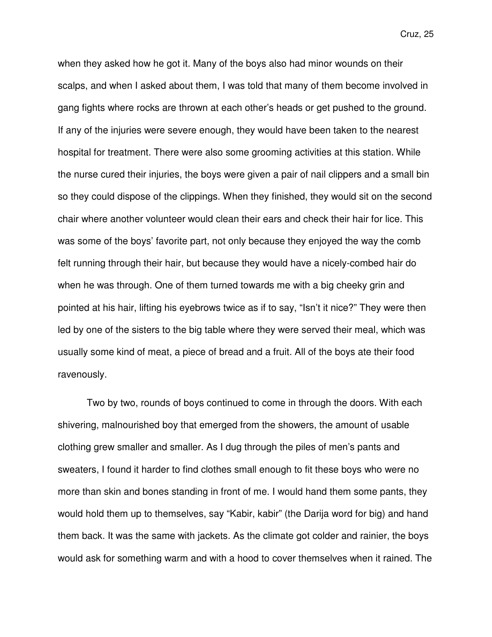when they asked how he got it. Many of the boys also had minor wounds on their scalps, and when I asked about them, I was told that many of them become involved in gang fights where rocks are thrown at each other's heads or get pushed to the ground. If any of the injuries were severe enough, they would have been taken to the nearest hospital for treatment. There were also some grooming activities at this station. While the nurse cured their injuries, the boys were given a pair of nail clippers and a small bin so they could dispose of the clippings. When they finished, they would sit on the second chair where another volunteer would clean their ears and check their hair for lice. This was some of the boys' favorite part, not only because they enjoyed the way the comb felt running through their hair, but because they would have a nicely-combed hair do when he was through. One of them turned towards me with a big cheeky grin and pointed at his hair, lifting his eyebrows twice as if to say, "Isn't it nice?" They were then led by one of the sisters to the big table where they were served their meal, which was usually some kind of meat, a piece of bread and a fruit. All of the boys ate their food ravenously.

Two by two, rounds of boys continued to come in through the doors. With each shivering, malnourished boy that emerged from the showers, the amount of usable clothing grew smaller and smaller. As I dug through the piles of men's pants and sweaters, I found it harder to find clothes small enough to fit these boys who were no more than skin and bones standing in front of me. I would hand them some pants, they would hold them up to themselves, say "Kabir, kabir" (the Darija word for big) and hand them back. It was the same with jackets. As the climate got colder and rainier, the boys would ask for something warm and with a hood to cover themselves when it rained. The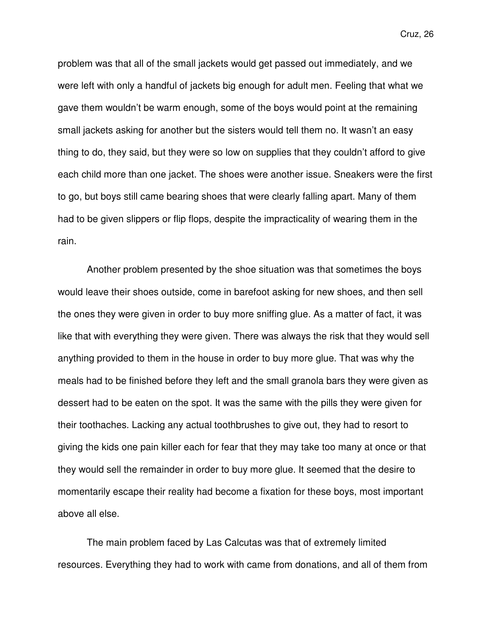problem was that all of the small jackets would get passed out immediately, and we were left with only a handful of jackets big enough for adult men. Feeling that what we gave them wouldn't be warm enough, some of the boys would point at the remaining small jackets asking for another but the sisters would tell them no. It wasn't an easy thing to do, they said, but they were so low on supplies that they couldn't afford to give each child more than one jacket. The shoes were another issue. Sneakers were the first to go, but boys still came bearing shoes that were clearly falling apart. Many of them had to be given slippers or flip flops, despite the impracticality of wearing them in the rain.

Another problem presented by the shoe situation was that sometimes the boys would leave their shoes outside, come in barefoot asking for new shoes, and then sell the ones they were given in order to buy more sniffing glue. As a matter of fact, it was like that with everything they were given. There was always the risk that they would sell anything provided to them in the house in order to buy more glue. That was why the meals had to be finished before they left and the small granola bars they were given as dessert had to be eaten on the spot. It was the same with the pills they were given for their toothaches. Lacking any actual toothbrushes to give out, they had to resort to giving the kids one pain killer each for fear that they may take too many at once or that they would sell the remainder in order to buy more glue. It seemed that the desire to momentarily escape their reality had become a fixation for these boys, most important above all else.

The main problem faced by Las Calcutas was that of extremely limited resources. Everything they had to work with came from donations, and all of them from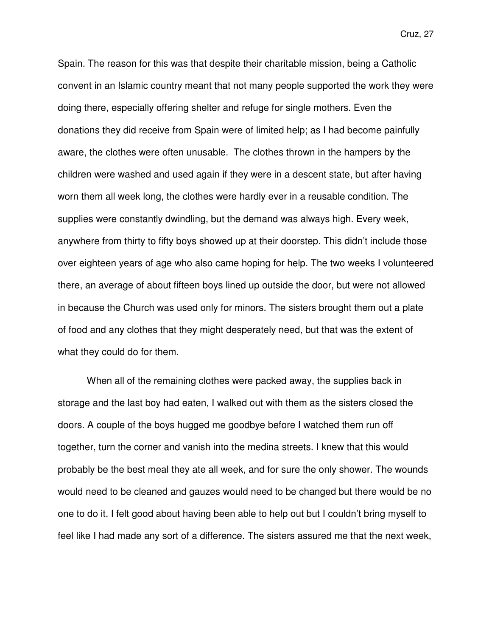Spain. The reason for this was that despite their charitable mission, being a Catholic convent in an Islamic country meant that not many people supported the work they were doing there, especially offering shelter and refuge for single mothers. Even the donations they did receive from Spain were of limited help; as I had become painfully aware, the clothes were often unusable. The clothes thrown in the hampers by the children were washed and used again if they were in a descent state, but after having worn them all week long, the clothes were hardly ever in a reusable condition. The supplies were constantly dwindling, but the demand was always high. Every week, anywhere from thirty to fifty boys showed up at their doorstep. This didn't include those over eighteen years of age who also came hoping for help. The two weeks I volunteered there, an average of about fifteen boys lined up outside the door, but were not allowed in because the Church was used only for minors. The sisters brought them out a plate of food and any clothes that they might desperately need, but that was the extent of what they could do for them.

When all of the remaining clothes were packed away, the supplies back in storage and the last boy had eaten, I walked out with them as the sisters closed the doors. A couple of the boys hugged me goodbye before I watched them run off together, turn the corner and vanish into the medina streets. I knew that this would probably be the best meal they ate all week, and for sure the only shower. The wounds would need to be cleaned and gauzes would need to be changed but there would be no one to do it. I felt good about having been able to help out but I couldn't bring myself to feel like I had made any sort of a difference. The sisters assured me that the next week,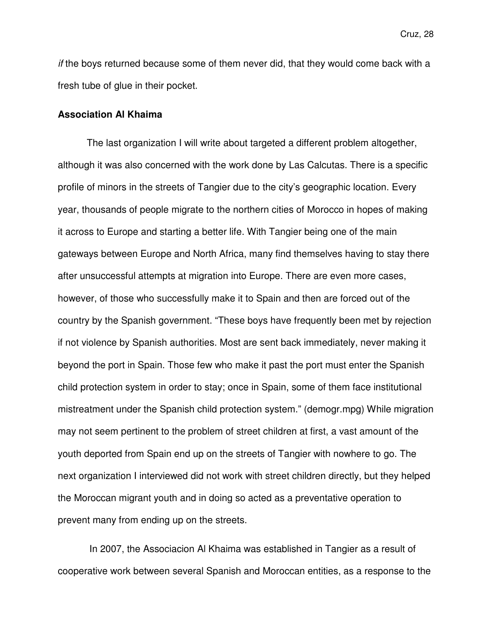if the boys returned because some of them never did, that they would come back with a fresh tube of glue in their pocket.

#### **Association Al Khaima**

 The last organization I will write about targeted a different problem altogether, although it was also concerned with the work done by Las Calcutas. There is a specific profile of minors in the streets of Tangier due to the city's geographic location. Every year, thousands of people migrate to the northern cities of Morocco in hopes of making it across to Europe and starting a better life. With Tangier being one of the main gateways between Europe and North Africa, many find themselves having to stay there after unsuccessful attempts at migration into Europe. There are even more cases, however, of those who successfully make it to Spain and then are forced out of the country by the Spanish government. "These boys have frequently been met by rejection if not violence by Spanish authorities. Most are sent back immediately, never making it beyond the port in Spain. Those few who make it past the port must enter the Spanish child protection system in order to stay; once in Spain, some of them face institutional mistreatment under the Spanish child protection system." (demogr.mpg) While migration may not seem pertinent to the problem of street children at first, a vast amount of the youth deported from Spain end up on the streets of Tangier with nowhere to go. The next organization I interviewed did not work with street children directly, but they helped the Moroccan migrant youth and in doing so acted as a preventative operation to prevent many from ending up on the streets.

 In 2007, the Associacion Al Khaima was established in Tangier as a result of cooperative work between several Spanish and Moroccan entities, as a response to the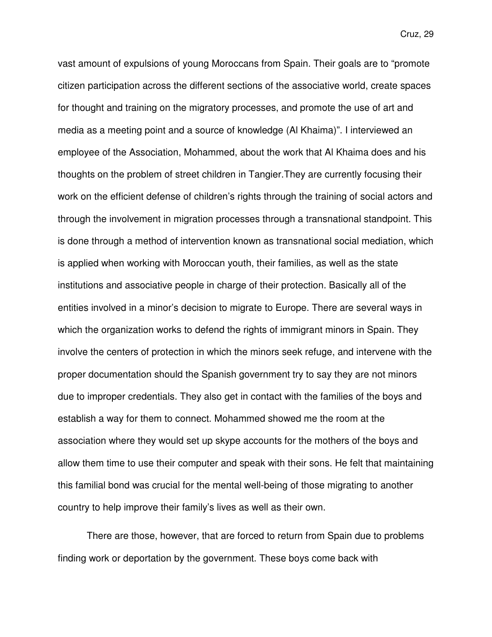vast amount of expulsions of young Moroccans from Spain. Their goals are to "promote citizen participation across the different sections of the associative world, create spaces for thought and training on the migratory processes, and promote the use of art and media as a meeting point and a source of knowledge (Al Khaima)". I interviewed an employee of the Association, Mohammed, about the work that Al Khaima does and his thoughts on the problem of street children in Tangier.They are currently focusing their work on the efficient defense of children's rights through the training of social actors and through the involvement in migration processes through a transnational standpoint. This is done through a method of intervention known as transnational social mediation, which is applied when working with Moroccan youth, their families, as well as the state institutions and associative people in charge of their protection. Basically all of the entities involved in a minor's decision to migrate to Europe. There are several ways in which the organization works to defend the rights of immigrant minors in Spain. They involve the centers of protection in which the minors seek refuge, and intervene with the proper documentation should the Spanish government try to say they are not minors due to improper credentials. They also get in contact with the families of the boys and establish a way for them to connect. Mohammed showed me the room at the association where they would set up skype accounts for the mothers of the boys and allow them time to use their computer and speak with their sons. He felt that maintaining this familial bond was crucial for the mental well-being of those migrating to another country to help improve their family's lives as well as their own.

There are those, however, that are forced to return from Spain due to problems finding work or deportation by the government. These boys come back with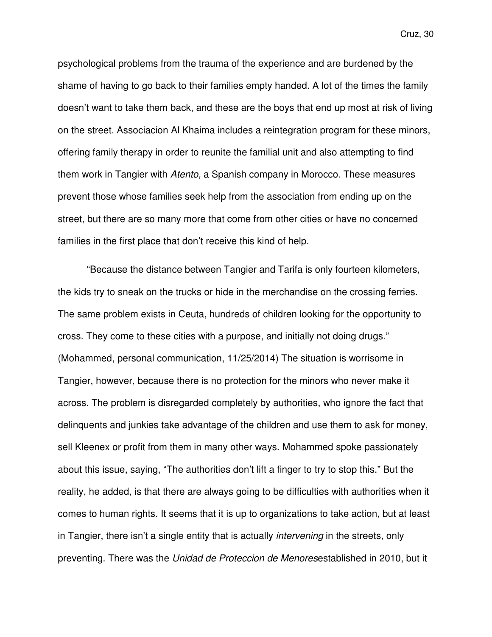psychological problems from the trauma of the experience and are burdened by the shame of having to go back to their families empty handed. A lot of the times the family doesn't want to take them back, and these are the boys that end up most at risk of living on the street. Associacion Al Khaima includes a reintegration program for these minors, offering family therapy in order to reunite the familial unit and also attempting to find them work in Tangier with Atento, a Spanish company in Morocco. These measures prevent those whose families seek help from the association from ending up on the street, but there are so many more that come from other cities or have no concerned families in the first place that don't receive this kind of help.

"Because the distance between Tangier and Tarifa is only fourteen kilometers, the kids try to sneak on the trucks or hide in the merchandise on the crossing ferries. The same problem exists in Ceuta, hundreds of children looking for the opportunity to cross. They come to these cities with a purpose, and initially not doing drugs." (Mohammed, personal communication, 11/25/2014) The situation is worrisome in Tangier, however, because there is no protection for the minors who never make it across. The problem is disregarded completely by authorities, who ignore the fact that delinquents and junkies take advantage of the children and use them to ask for money, sell Kleenex or profit from them in many other ways. Mohammed spoke passionately about this issue, saying, "The authorities don't lift a finger to try to stop this." But the reality, he added, is that there are always going to be difficulties with authorities when it comes to human rights. It seems that it is up to organizations to take action, but at least in Tangier, there isn't a single entity that is actually *intervening* in the streets, only preventing. There was the Unidad de Proteccion de Menoresestablished in 2010, but it

Cruz, 30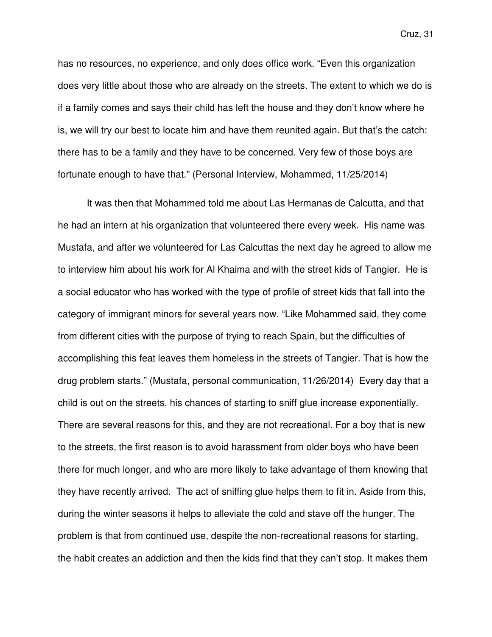has no resources, no experience, and only does office work. "Even this organization does very little about those who are already on the streets. The extent to which we do is if a family comes and says their child has left the house and they don't know where he is, we will try our best to locate him and have them reunited again. But that's the catch: there has to be a family and they have to be concerned. Very few of those boys are fortunate enough to have that." (Personal Interview, Mohammed, 11/25/2014)

It was then that Mohammed told me about Las Hermanas de Calcutta, and that he had an intern at his organization that volunteered there every week. His name was Mustafa, and after we volunteered for Las Calcuttas the next day he agreed to allow me to interview him about his work for Al Khaima and with the street kids of Tangier. He is a social educator who has worked with the type of profile of street kids that fall into the category of immigrant minors for several years now. "Like Mohammed said, they come from different cities with the purpose of trying to reach Spain, but the difficulties of accomplishing this feat leaves them homeless in the streets of Tangier. That is how the drug problem starts." (Mustafa, personal communication, 11/26/2014) Every day that a child is out on the streets, his chances of starting to sniff glue increase exponentially. There are several reasons for this, and they are not recreational. For a boy that is new to the streets, the first reason is to avoid harassment from older boys who have been there for much longer, and who are more likely to take advantage of them knowing that they have recently arrived. The act of sniffing glue helps them to fit in. Aside from this, during the winter seasons it helps to alleviate the cold and stave off the hunger. The problem is that from continued use, despite the non-recreational reasons for starting, the habit creates an addiction and then the kids find that they can't stop. It makes them

Cruz, 31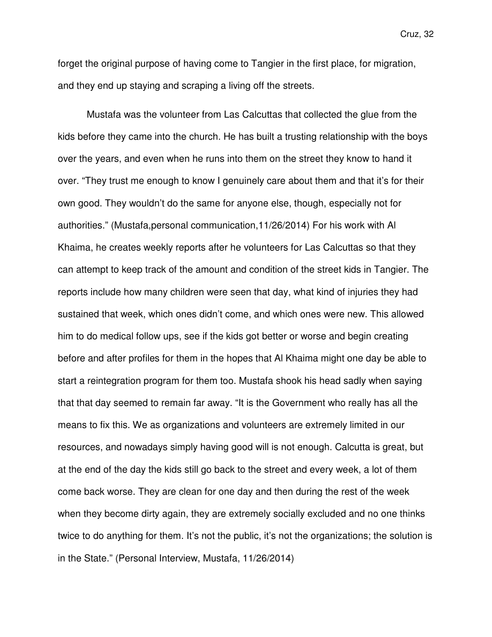forget the original purpose of having come to Tangier in the first place, for migration, and they end up staying and scraping a living off the streets.

Mustafa was the volunteer from Las Calcuttas that collected the glue from the kids before they came into the church. He has built a trusting relationship with the boys over the years, and even when he runs into them on the street they know to hand it over. "They trust me enough to know I genuinely care about them and that it's for their own good. They wouldn't do the same for anyone else, though, especially not for authorities." (Mustafa,personal communication,11/26/2014) For his work with Al Khaima, he creates weekly reports after he volunteers for Las Calcuttas so that they can attempt to keep track of the amount and condition of the street kids in Tangier. The reports include how many children were seen that day, what kind of injuries they had sustained that week, which ones didn't come, and which ones were new. This allowed him to do medical follow ups, see if the kids got better or worse and begin creating before and after profiles for them in the hopes that Al Khaima might one day be able to start a reintegration program for them too. Mustafa shook his head sadly when saying that that day seemed to remain far away. "It is the Government who really has all the means to fix this. We as organizations and volunteers are extremely limited in our resources, and nowadays simply having good will is not enough. Calcutta is great, but at the end of the day the kids still go back to the street and every week, a lot of them come back worse. They are clean for one day and then during the rest of the week when they become dirty again, they are extremely socially excluded and no one thinks twice to do anything for them. It's not the public, it's not the organizations; the solution is in the State." (Personal Interview, Mustafa, 11/26/2014)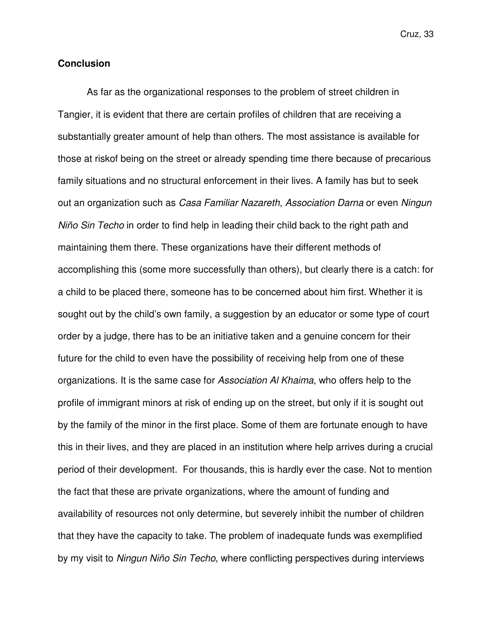#### **Conclusion**

 As far as the organizational responses to the problem of street children in Tangier, it is evident that there are certain profiles of children that are receiving a substantially greater amount of help than others. The most assistance is available for those at riskof being on the street or already spending time there because of precarious family situations and no structural enforcement in their lives. A family has but to seek out an organization such as Casa Familiar Nazareth, Association Darna or even Ningun Niño Sin Techo in order to find help in leading their child back to the right path and maintaining them there. These organizations have their different methods of accomplishing this (some more successfully than others), but clearly there is a catch: for a child to be placed there, someone has to be concerned about him first. Whether it is sought out by the child's own family, a suggestion by an educator or some type of court order by a judge, there has to be an initiative taken and a genuine concern for their future for the child to even have the possibility of receiving help from one of these organizations. It is the same case for Association Al Khaima, who offers help to the profile of immigrant minors at risk of ending up on the street, but only if it is sought out by the family of the minor in the first place. Some of them are fortunate enough to have this in their lives, and they are placed in an institution where help arrives during a crucial period of their development. For thousands, this is hardly ever the case. Not to mention the fact that these are private organizations, where the amount of funding and availability of resources not only determine, but severely inhibit the number of children that they have the capacity to take. The problem of inadequate funds was exemplified by my visit to Ningun Niño Sin Techo, where conflicting perspectives during interviews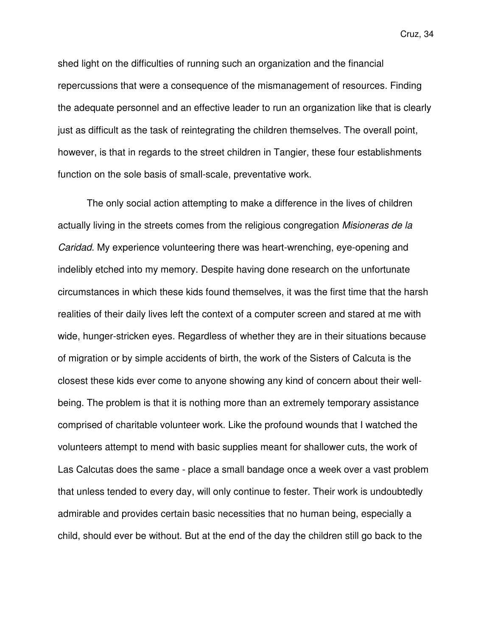shed light on the difficulties of running such an organization and the financial repercussions that were a consequence of the mismanagement of resources. Finding the adequate personnel and an effective leader to run an organization like that is clearly just as difficult as the task of reintegrating the children themselves. The overall point, however, is that in regards to the street children in Tangier, these four establishments function on the sole basis of small-scale, preventative work.

 The only social action attempting to make a difference in the lives of children actually living in the streets comes from the religious congregation Misioneras de la Caridad. My experience volunteering there was heart-wrenching, eye-opening and indelibly etched into my memory. Despite having done research on the unfortunate circumstances in which these kids found themselves, it was the first time that the harsh realities of their daily lives left the context of a computer screen and stared at me with wide, hunger-stricken eyes. Regardless of whether they are in their situations because of migration or by simple accidents of birth, the work of the Sisters of Calcuta is the closest these kids ever come to anyone showing any kind of concern about their wellbeing. The problem is that it is nothing more than an extremely temporary assistance comprised of charitable volunteer work. Like the profound wounds that I watched the volunteers attempt to mend with basic supplies meant for shallower cuts, the work of Las Calcutas does the same - place a small bandage once a week over a vast problem that unless tended to every day, will only continue to fester. Their work is undoubtedly admirable and provides certain basic necessities that no human being, especially a child, should ever be without. But at the end of the day the children still go back to the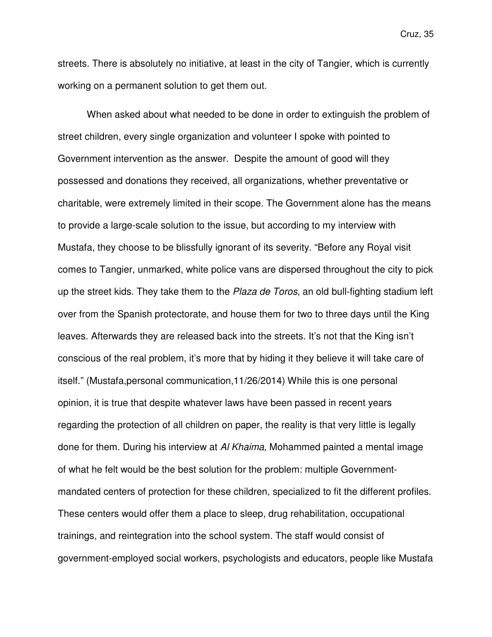streets. There is absolutely no initiative, at least in the city of Tangier, which is currently working on a permanent solution to get them out.

 When asked about what needed to be done in order to extinguish the problem of street children, every single organization and volunteer I spoke with pointed to Government intervention as the answer. Despite the amount of good will they possessed and donations they received, all organizations, whether preventative or charitable, were extremely limited in their scope. The Government alone has the means to provide a large-scale solution to the issue, but according to my interview with Mustafa, they choose to be blissfully ignorant of its severity. "Before any Royal visit comes to Tangier, unmarked, white police vans are dispersed throughout the city to pick up the street kids. They take them to the Plaza de Toros, an old bull-fighting stadium left over from the Spanish protectorate, and house them for two to three days until the King leaves. Afterwards they are released back into the streets. It's not that the King isn't conscious of the real problem, it's more that by hiding it they believe it will take care of itself." (Mustafa,personal communication,11/26/2014) While this is one personal opinion, it is true that despite whatever laws have been passed in recent years regarding the protection of all children on paper, the reality is that very little is legally done for them. During his interview at Al Khaima, Mohammed painted a mental image of what he felt would be the best solution for the problem: multiple Governmentmandated centers of protection for these children, specialized to fit the different profiles. These centers would offer them a place to sleep, drug rehabilitation, occupational trainings, and reintegration into the school system. The staff would consist of government-employed social workers, psychologists and educators, people like Mustafa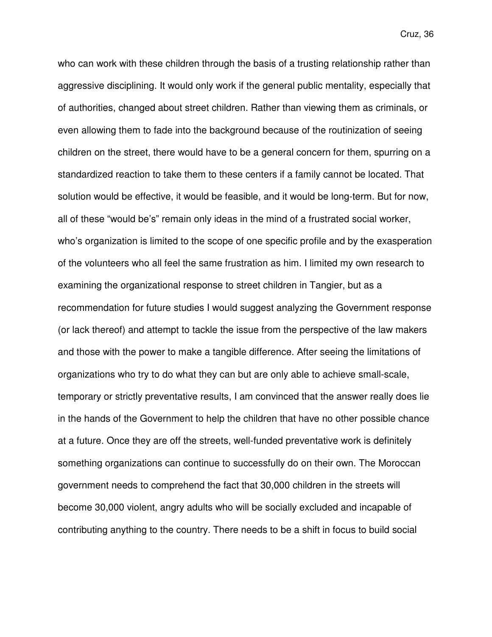who can work with these children through the basis of a trusting relationship rather than aggressive disciplining. It would only work if the general public mentality, especially that of authorities, changed about street children. Rather than viewing them as criminals, or even allowing them to fade into the background because of the routinization of seeing children on the street, there would have to be a general concern for them, spurring on a standardized reaction to take them to these centers if a family cannot be located. That solution would be effective, it would be feasible, and it would be long-term. But for now, all of these "would be's" remain only ideas in the mind of a frustrated social worker, who's organization is limited to the scope of one specific profile and by the exasperation of the volunteers who all feel the same frustration as him. I limited my own research to examining the organizational response to street children in Tangier, but as a recommendation for future studies I would suggest analyzing the Government response (or lack thereof) and attempt to tackle the issue from the perspective of the law makers and those with the power to make a tangible difference. After seeing the limitations of organizations who try to do what they can but are only able to achieve small-scale, temporary or strictly preventative results, I am convinced that the answer really does lie in the hands of the Government to help the children that have no other possible chance at a future. Once they are off the streets, well-funded preventative work is definitely something organizations can continue to successfully do on their own. The Moroccan government needs to comprehend the fact that 30,000 children in the streets will become 30,000 violent, angry adults who will be socially excluded and incapable of contributing anything to the country. There needs to be a shift in focus to build social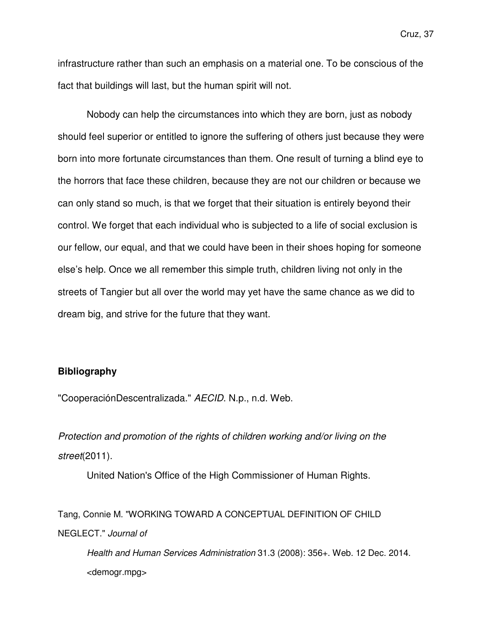infrastructure rather than such an emphasis on a material one. To be conscious of the fact that buildings will last, but the human spirit will not.

Nobody can help the circumstances into which they are born, just as nobody should feel superior or entitled to ignore the suffering of others just because they were born into more fortunate circumstances than them. One result of turning a blind eye to the horrors that face these children, because they are not our children or because we can only stand so much, is that we forget that their situation is entirely beyond their control. We forget that each individual who is subjected to a life of social exclusion is our fellow, our equal, and that we could have been in their shoes hoping for someone else's help. Once we all remember this simple truth, children living not only in the streets of Tangier but all over the world may yet have the same chance as we did to dream big, and strive for the future that they want.

#### **Bibliography**

"CooperaciónDescentralizada." AECID. N.p., n.d. Web.

Protection and promotion of the rights of children working and/or living on the street(2011).

United Nation's Office of the High Commissioner of Human Rights.

Tang, Connie M. "WORKING TOWARD A CONCEPTUAL DEFINITION OF CHILD NEGLECT." Journal of

Health and Human Services Administration 31.3 (2008): 356+. Web. 12 Dec. 2014. <demogr.mpg>